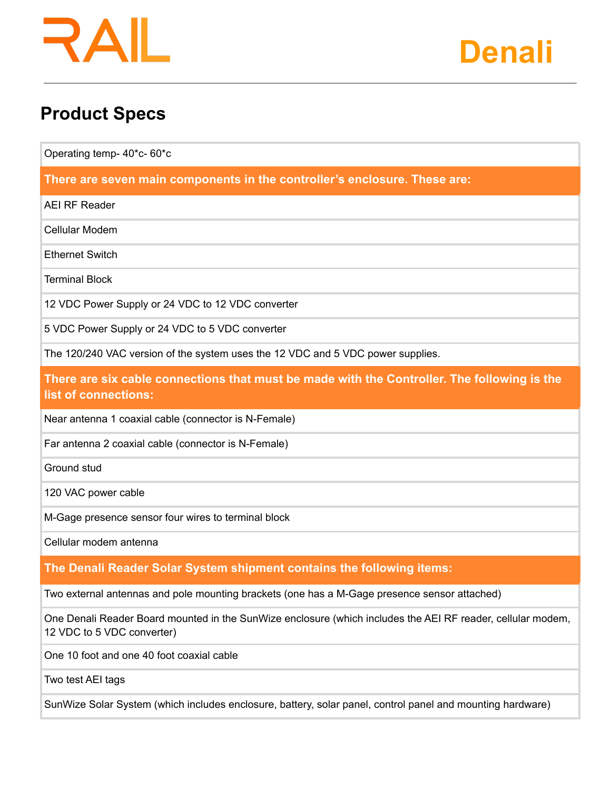## R AI



### **Product Specs**

Operating temp- 40\*c- 60\*c

**There are seven main components in the controller's enclosure. These are:**

AEI RF Reader

Cellular Modem

Ethernet Switch

Terminal Block

12 VDC Power Supply or 24 VDC to 12 VDC converter

5 VDC Power Supply or 24 VDC to 5 VDC converter

The 120/240 VAC version of the system uses the 12 VDC and 5 VDC power supplies.

**There are six cable connections that must be made with the Controller. The following is the list of connections:**

Near antenna 1 coaxial cable (connector is N-Female)

Far antenna 2 coaxial cable (connector is N-Female)

Ground stud

120 VAC power cable

M-Gage presence sensor four wires to terminal block

Cellular modem antenna

#### **The Denali Reader Solar System shipment contains the following items:**

Two external antennas and pole mounting brackets (one has a M-Gage presence sensor attached)

One Denali Reader Board mounted in the SunWize enclosure (which includes the AEI RF reader, cellular modem, 12 VDC to 5 VDC converter)

One 10 foot and one 40 foot coaxial cable

Two test AEI tags

SunWize Solar System (which includes enclosure, battery, solar panel, control panel and mounting hardware)